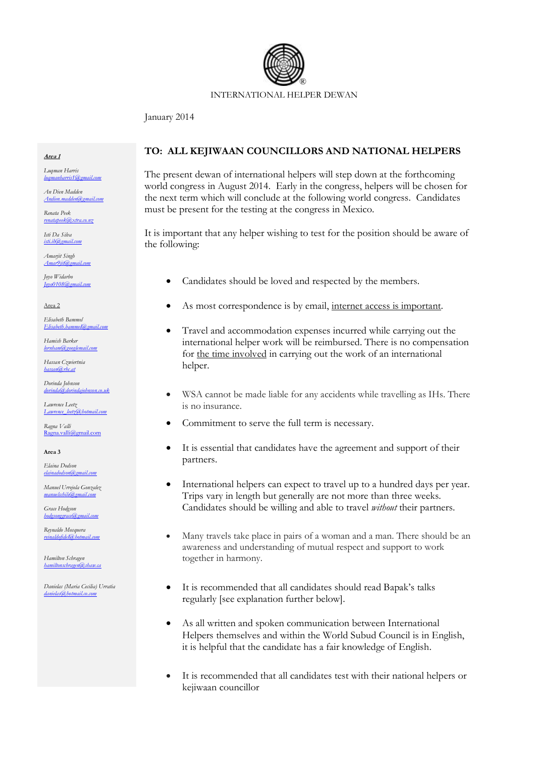

## INTERNATIONAL HELPER DEWAN

January 2014

#### **Area 1**

*Luqman Harris*  $mbar$ rris $1$ @g

*An Dien Madden [Andien.madden@gmail.com](mailto:Andien.madden@gmail.com)*

*Renata Peek [renatapeek@xtra.co.nz](mailto:renatapeek@xtra.co.nz)*

*Isti Da Silva [isti.ih@gmail.com](mailto:isti.ih@gmail.com)*

*Amarjit Singh [Amar9jit@gmail.com](mailto:Amar9jit@gmail.com)*

*Joyo Widarbo [Joyo0108@gmail.com](mailto:Joyo0108@gmail.com)*

Area 2

*Elisabeth Bammel [Elisabeth.bammel@gmail.com](mailto:Elisabeth.bammel@gmail.com)*

*Hamish Barker [lornham@googlemail.com](mailto:lornham@googlemail.com)*

*Hassan Czwiertnia [hassan@rhc.at](mailto:hassan@rhc.at)*

*Dorinda Johnson [dorinda@dorindajohnson.co.uk](mailto:dorinda@dorindajohnson.co.uk)*

*Lawrence Leetz [Lawrence\\_leetz@hotmail.com](mailto:Lawrence_leetz@hotmail.com)*

*Ragna Valli* [Ragna.valli@gmail.com](mailto:Ragna.valli@gmail.com)

**Area 3**

*Elaina Dodson [elainadodson@gmail.com](mailto:elainadodson@gmail.com)*

*Manuel Urrejola Gonzalez [manuelschile@gmail.com](mailto:manuelschile@gmail.com)*

*Grace Hodgson [hodgsonggrace@gmail.com](mailto:hodgsonggrace@gmail.com)*

*Reynaldo Mosquera [reinaldofidel@hotmail.com](mailto:reinaldofidel@hotmail.com)*

*Hamilton Schragen hamiltonschrage* 

*Danielas (Maria Cecilia) Urratia [danielas@hotmail.co.com](mailto:danielas@hotmail.co.com)*

# **TO: ALL KEJIWAAN COUNCILLORS AND NATIONAL HELPERS**

The present dewan of international helpers will step down at the forthcoming world congress in August 2014. Early in the congress, helpers will be chosen for the next term which will conclude at the following world congress. Candidates must be present for the testing at the congress in Mexico.

It is important that any helper wishing to test for the position should be aware of the following:

- Candidates should be loved and respected by the members.
- As most correspondence is by email, internet access is important.
- Travel and accommodation expenses incurred while carrying out the international helper work will be reimbursed. There is no compensation for the time involved in carrying out the work of an international helper.
- WSA cannot be made liable for any accidents while travelling as IHs. There is no insurance.
- Commitment to serve the full term is necessary.
- It is essential that candidates have the agreement and support of their partners.
- International helpers can expect to travel up to a hundred days per year. Trips vary in length but generally are not more than three weeks. Candidates should be willing and able to travel *without* their partners.
- Many travels take place in pairs of a woman and a man. There should be an awareness and understanding of mutual respect and support to work together in harmony.
- It is recommended that all candidates should read Bapak's talks regularly [see explanation further below].
- As all written and spoken communication between International Helpers themselves and within the World Subud Council is in English, it is helpful that the candidate has a fair knowledge of English.
- It is recommended that all candidates test with their national helpers or kejiwaan councillor